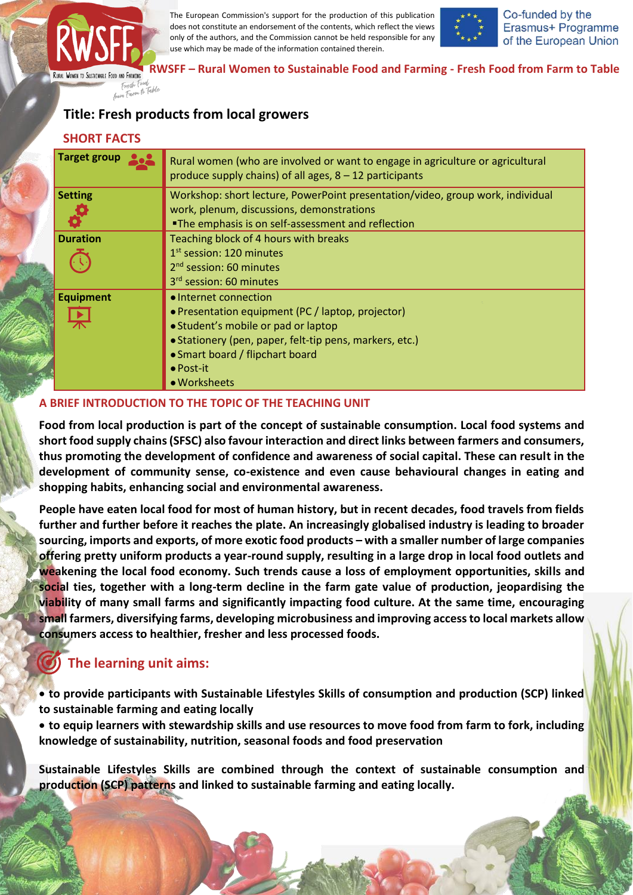

The European Commission's support for the production of this publication does not constitute an endorsement of the contents, which reflect the views only of the authors, and the Commission cannot be held responsible for any use which may be made of the information contained therein.



Co-funded by the Erasmus+ Programme of the European Union

**RWSFF – Rural Women to Sustainable Food and Farming - Fresh Food from Farm to Table**

# **Title: Fresh products from local growers**

| <b>SHORT FACTS</b>  |                                                                                                                                                                                                                                                      |
|---------------------|------------------------------------------------------------------------------------------------------------------------------------------------------------------------------------------------------------------------------------------------------|
| <b>Target group</b> | Rural women (who are involved or want to engage in agriculture or agricultural<br>produce supply chains) of all ages, $8 - 12$ participants                                                                                                          |
| <b>Setting</b>      | Workshop: short lecture, PowerPoint presentation/video, group work, individual<br>work, plenum, discussions, demonstrations<br>. The emphasis is on self-assessment and reflection                                                                   |
| <b>Duration</b>     | Teaching block of 4 hours with breaks<br>$1st$ session: 120 minutes<br>2 <sup>nd</sup> session: 60 minutes<br>3 <sup>rd</sup> session: 60 minutes                                                                                                    |
| <b>Equipment</b>    | • Internet connection<br>• Presentation equipment (PC / laptop, projector)<br>• Student's mobile or pad or laptop<br>• Stationery (pen, paper, felt-tip pens, markers, etc.)<br>• Smart board / flipchart board<br>$\bullet$ Post-it<br>• Worksheets |

#### **A BRIEF INTRODUCTION TO THE TOPIC OF THE TEACHING UNIT**

**Food from local production is part of the concept of sustainable consumption. Local food systems and short food supply chains (SFSC) also favour interaction and direct links between farmers and consumers, thus promoting the development of confidence and awareness of social capital. These can result in the development of community sense, co-existence and even cause behavioural changes in eating and shopping habits, enhancing social and environmental awareness.**

**People have eaten local food for most of human history, but in recent decades, food travels from fields further and further before it reaches the plate. An increasingly globalised industry is leading to broader sourcing, imports and exports, of more exotic food products – with a smaller number of large companies offering pretty uniform products a year-round supply, resulting in a large drop in local food outlets and weakening the local food economy. Such trends cause a loss of employment opportunities, skills and social ties, together with a long-term decline in the farm gate value of production, jeopardising the viability of many small farms and significantly impacting food culture. At the same time, encouraging small farmers, diversifying farms, developing microbusiness and improving access to local markets allow consumers access to healthier, fresher and less processed foods.**

# **The learning unit aims:**

• **to provide participants with Sustainable Lifestyles Skills of consumption and production (SCP) linked to sustainable farming and eating locally**

• **to equip learners with stewardship skills and use resources to move food from farm to fork, including knowledge of sustainability, nutrition, seasonal foods and food preservation**

**Sustainable Lifestyles Skills are combined through the context of sustainable consumption and production (SCP) patterns and linked to sustainable farming and eating locally.**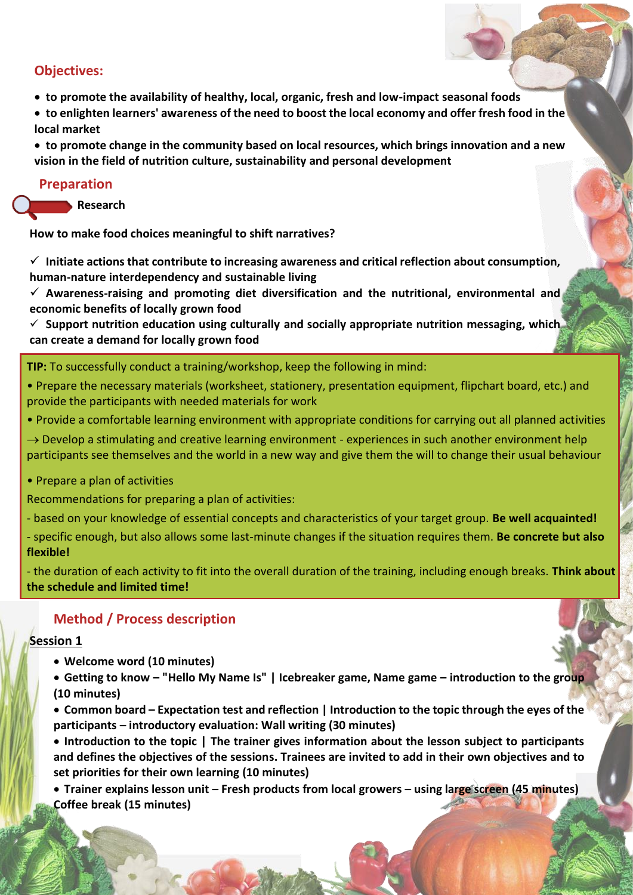## **Objectives:**

- **to promote the availability of healthy, local, organic, fresh and low-impact seasonal foods**
- **to enlighten learners' awareness of the need to boost the local economy and offer fresh food in the local market**
- **to promote change in the community based on local resources, which brings innovation and a new vision in the field of nutrition culture, sustainability and personal development**

### **Preparation**

**Research**

**How to make food choices meaningful to shift narratives?**

✓ **Initiate actions that contribute to increasing awareness and critical reflection about consumption, human-nature interdependency and sustainable living**

✓ **Awareness-raising and promoting diet diversification and the nutritional, environmental and economic benefits of locally grown food**

✓ **Support nutrition education using culturally and socially appropriate nutrition messaging, which can create a demand for locally grown food**

**TIP:** To successfully conduct a training/workshop, keep the following in mind:

- Prepare the necessary materials (worksheet, stationery, presentation equipment, flipchart board, etc.) and provide the participants with needed materials for work
- Provide a comfortable learning environment with appropriate conditions for carrying out all planned activities
- $\rightarrow$  Develop a stimulating and creative learning environment experiences in such another environment help participants see themselves and the world in a new way and give them the will to change their usual behaviour
- Prepare a plan of activities

Recommendations for preparing a plan of activities:

- based on your knowledge of essential concepts and characteristics of your target group. **Be well acquainted!**

- specific enough, but also allows some last-minute changes if the situation requires them. **Be concrete but also flexible!**

- the duration of each activity to fit into the overall duration of the training, including enough breaks. **Think about the schedule and limited time!**

## **Method / Process description**

## **Session 1**

- **Welcome word (10 minutes)**
- **Getting to know – "Hello My Name Is" | Icebreaker game, Name game – introduction to the group (10 minutes)**
- **Common board – Expectation test and reflection | Introduction to the topic through the eyes of the participants – introductory evaluation: Wall writing (30 minutes)**

• **Introduction to the topic | The trainer gives information about the lesson subject to participants and defines the objectives of the sessions. Trainees are invited to add in their own objectives and to set priorities for their own learning (10 minutes)**

• **Trainer explains lesson unit – Fresh products from local growers – using large screen (45 minutes) Coffee break (15 minutes)**